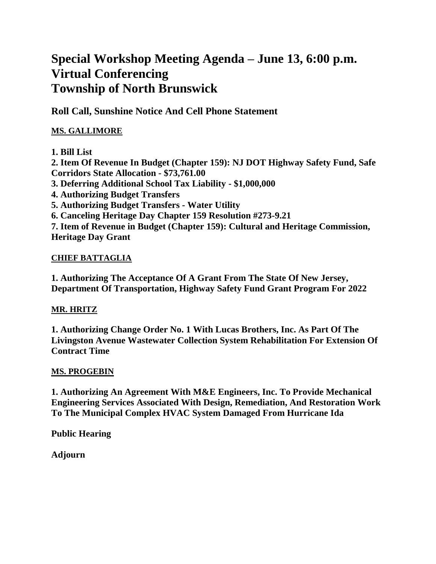# **Special Workshop Meeting Agenda – June 13, 6:00 p.m. Virtual Conferencing Township of North Brunswick**

**Roll Call, Sunshine Notice And Cell Phone Statement**

### **MS. GALLIMORE**

### **1. Bill List**

**2. Item Of Revenue In Budget (Chapter 159): NJ DOT Highway Safety Fund, Safe Corridors State Allocation - \$73,761.00 3. Deferring Additional School Tax Liability - \$1,000,000 4. Authorizing Budget Transfers 5. Authorizing Budget Transfers - Water Utility 6. Canceling Heritage Day Chapter 159 Resolution #273-9.21 7. Item of Revenue in Budget (Chapter 159): Cultural and Heritage Commission, Heritage Day Grant**

### **CHIEF BATTAGLIA**

**1. Authorizing The Acceptance Of A Grant From The State Of New Jersey, Department Of Transportation, Highway Safety Fund Grant Program For 2022**

### **MR. HRITZ**

**1. Authorizing Change Order No. 1 With Lucas Brothers, Inc. As Part Of The Livingston Avenue Wastewater Collection System Rehabilitation For Extension Of Contract Time**

#### **MS. PROGEBIN**

**1. Authorizing An Agreement With M&E Engineers, Inc. To Provide Mechanical Engineering Services Associated With Design, Remediation, And Restoration Work To The Municipal Complex HVAC System Damaged From Hurricane Ida**

**Public Hearing**

**Adjourn**